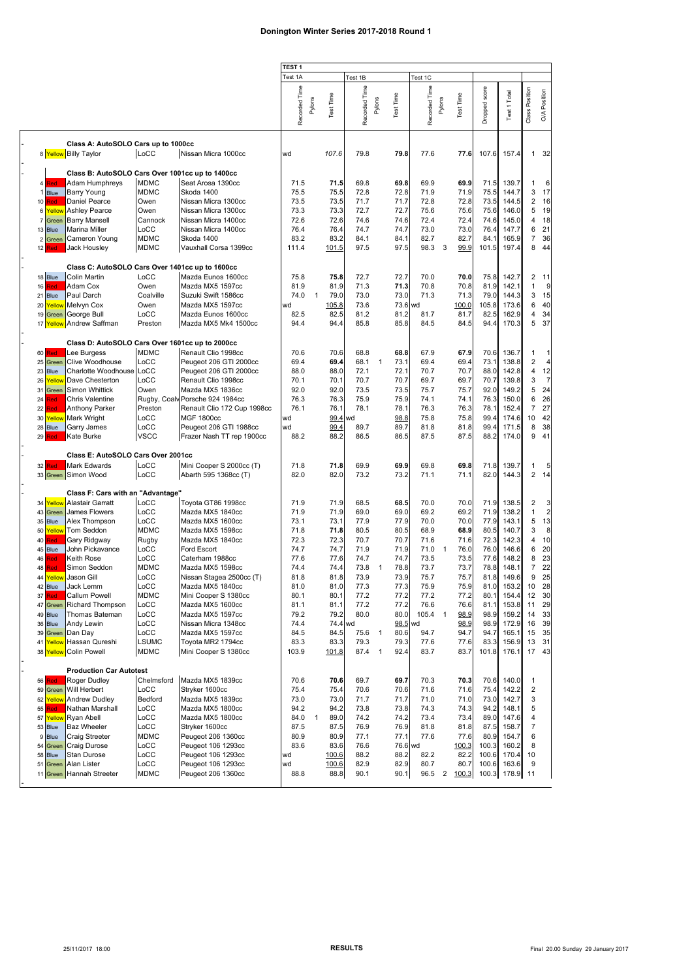|                         |                                                 |              |                             | TEST 1        |                     |         |               |                            |                   |               |                |           |               |                     |                         |                |
|-------------------------|-------------------------------------------------|--------------|-----------------------------|---------------|---------------------|---------|---------------|----------------------------|-------------------|---------------|----------------|-----------|---------------|---------------------|-------------------------|----------------|
|                         |                                                 |              |                             | Test 1A       |                     |         | Test 1B       |                            |                   | Test 1C       |                |           |               |                     |                         |                |
|                         |                                                 |              |                             |               |                     |         |               |                            |                   |               |                |           |               |                     |                         |                |
|                         |                                                 |              |                             |               |                     |         |               |                            |                   |               |                |           |               |                     |                         |                |
|                         |                                                 |              |                             |               | Test Time<br>Pylons |         |               | Pylons                     | Time              |               | Pylons         | Test Time |               |                     |                         | Position       |
|                         |                                                 |              |                             |               |                     |         |               |                            |                   |               |                |           |               |                     |                         |                |
|                         |                                                 |              |                             | Recorded Time |                     |         | Recorded Time |                            | Test <sup>-</sup> | Recorded Time |                |           | Dropped score | <b>Test 1 Total</b> | Class Position          | $\delta$       |
|                         |                                                 |              |                             |               |                     |         |               |                            |                   |               |                |           |               |                     |                         |                |
|                         |                                                 |              |                             |               |                     |         |               |                            |                   |               |                |           |               |                     |                         |                |
|                         |                                                 |              |                             |               |                     |         |               |                            |                   |               |                |           |               |                     |                         |                |
|                         | Class A: AutoSOLO Cars up to 1000cc             |              |                             |               |                     |         |               |                            |                   |               |                |           |               |                     |                         |                |
|                         | 8 Yellow Billy Taylor                           | LoCC         | Nissan Micra 1000cc         | wd            |                     | 107.6   | 79.8          |                            | 79.8              | 77.6          |                | 77.6      | 107.6         | 157.4               | $\mathbf{1}$            | 32             |
|                         |                                                 |              |                             |               |                     |         |               |                            |                   |               |                |           |               |                     |                         |                |
|                         | Class B: AutoSOLO Cars Over 1001cc up to 1400cc |              |                             |               |                     |         |               |                            |                   |               |                |           |               |                     |                         |                |
| 4 Red                   | Adam Humphreys                                  | <b>MDMC</b>  | Seat Arosa 1390cc           | 71.5          |                     | 71.5    | 69.8          |                            | 69.8              | 69.9          |                | 69.9      | 71.5          | 139.7               | 1                       | 6              |
|                         |                                                 |              |                             |               |                     |         |               |                            |                   |               |                |           |               |                     |                         |                |
| Blue                    | Barry Young                                     | <b>MDMC</b>  | Skoda 1400                  | 75.5          |                     | 75.5    | 72.8          |                            | 72.8              | 71.9          |                | 71.9      | 75.5          | 144.7               | 3                       | 17             |
| 10<br><b>Red</b>        | Daniel Pearce                                   | Owen         | Nissan Micra 1300cc         | 73.5          |                     | 73.5    | 71.7          |                            | 71.7              | 72.8          |                | 72.8      | 73.5          | 144.5               | $\overline{c}$          | 16             |
| Yellow<br>6             | <b>Ashley Pearce</b>                            | Owen         | Nissan Micra 1300cc         | 73.3          |                     | 73.3    | 72.7          |                            | 72.7              | 75.6          |                | 75.6      | 75.6          | 146.0               | 5                       | 19             |
| Green                   | <b>Barry Mansell</b>                            | Cannock      | Nissan Micra 1400cc         | 72.6          |                     | 72.6    | 74.6          |                            | 74.6              | 72.4          |                | 72.4      | 74.6          | 145.0               | 4                       | 18             |
| 13 Blue                 | Marina Miller                                   | LoCC         | Nissan Micra 1400cc         | 76.4          |                     | 76.4    | 74.7          |                            | 74.7              | 73.0          |                | 73.0      | 76.4          | 147.7               | 6                       | 21             |
| Green<br>$\overline{2}$ | Cameron Young                                   | <b>MDMC</b>  | Skoda 1400                  | 83.2          |                     | 83.2    | 84.1          |                            | 84.1              | 82.7          |                | 82.7      | 84.1          | 165.9               | 7                       | 36             |
|                         |                                                 |              |                             |               |                     |         |               |                            |                   |               |                |           |               |                     |                         |                |
| 12 Red                  | Jack Housley                                    | <b>MDMC</b>  | Vauxhall Corsa 1399cc       | 111.4         |                     | 101.5   | 97.5          |                            | 97.5              | 98.3          | 3              | 99.9      | 101.5         | 197.4               | 8                       | 44             |
|                         |                                                 |              |                             |               |                     |         |               |                            |                   |               |                |           |               |                     |                         |                |
|                         | Class C: AutoSOLO Cars Over 1401cc up to 1600cc |              |                             |               |                     |         |               |                            |                   |               |                |           |               |                     |                         |                |
| 18 Blue                 | <b>Colin Martin</b>                             | LoCC         | Mazda Eunos 1600cc          | 75.8          |                     | 75.8    | 72.7          |                            | 72.7              | 70.0          |                | 70.0      | 75.8          | 142.7               | $\overline{c}$          | 11             |
| 16 Red                  | Adam Cox                                        | Owen         | Mazda MX5 1597cc            | 81.9          |                     | 81.9    | 71.3          |                            | 71.3              | 70.8          |                | 70.8      | 81.9          | 142.1               | $\mathbf{1}$            | g              |
|                         |                                                 |              |                             |               |                     |         |               |                            |                   |               |                |           |               |                     |                         |                |
| 21 Blue                 | Paul Darch                                      | Coalville    | Suzuki Swift 1586cc         | 74.0          | $\overline{1}$      | 79.0    | 73.0          |                            | 73.0              | 71.3          |                | 71.3      | 79.0          | 144.3               | 3                       | 15             |
| Yellow<br>20            | Melvyn Cox                                      | Owen         | Mazda MX5 1597cc            | wd            |                     | 105.8   | 73.6          |                            | 73.6 wd           |               |                | 100.0     | 105.8         | 173.6               | 6                       | 40             |
| 19 Green                | George Bull                                     | LoCC         | Mazda Eunos 1600cc          | 82.5          |                     | 82.5    | 81.2          |                            | 81.2              | 81.7          |                | 81.7      | 82.5          | 162.9               | 4                       | 34             |
| 17 Yellow               | Andrew Saffman                                  | Preston      | Mazda MX5 Mk4 1500cc        | 94.4          |                     | 94.4    | 85.8          |                            | 85.8              | 84.5          |                | 84.5      | 94.4          | 170.3               | 5                       | 37             |
|                         |                                                 |              |                             |               |                     |         |               |                            |                   |               |                |           |               |                     |                         |                |
|                         |                                                 |              |                             |               |                     |         |               |                            |                   |               |                |           |               |                     |                         |                |
|                         | Class D: AutoSOLO Cars Over 1601cc up to 2000cc |              |                             |               |                     |         |               |                            |                   |               |                |           |               |                     |                         |                |
| <b>60 Red</b>           | Lee Burgess                                     | <b>MDMC</b>  | Renault Clio 1998cc         | 70.6          |                     | 70.6    | 68.8          |                            | 68.8              | 67.9          |                | 67.9      | 70.6          | 136.7               | $\mathbf{1}$            | 1              |
| Green<br>25             | Clive Woodhouse                                 | LoCC         | Peugeot 206 GTI 2000cc      | 69.4          |                     | 69.4    | 68.1          | $\mathbf{1}$               | 73.1              | 69.4          |                | 69.4      | 73.1          | 138.8               | 2                       | 4              |
| <b>Blue</b><br>23       | Charlotte Woodhouse                             | LoCC         | Peugeot 206 GTI 2000cc      | 88.0          |                     | 88.0    | 72.1          |                            | 72.1              | 70.7          |                | 70.7      | 88.0          | 142.8               | 4                       | 12             |
| 26<br>Yellow            | Dave Chesterton                                 | LoCC         | Renault Clio 1998cc         | 70.1          |                     | 70.1    | 70.7          |                            | 70.7              | 69.7          |                | 69.7      | 70.7          | 139.8               | 3                       | $\overline{7}$ |
|                         |                                                 |              |                             |               |                     |         |               |                            |                   |               |                |           |               |                     | 5                       |                |
| 31<br>Green             | Simon Whittick                                  | Owen         | Mazda MX5 1836cc            | 92.0          |                     | 92.0    | 73.5          |                            | 73.5              | 75.7          |                | 75.7      | 92.0          | 149.2               |                         | 24             |
| 24<br><b>Red</b>        | Chris Valentine                                 | Rugby, Coaly | Porsche 924 1984cc          | 76.3          |                     | 76.3    | 75.9          |                            | 75.9              | 74.1          |                | 74.1      | 76.3          | 150.0               | 6                       | 26             |
| 22<br>Red               | Anthony Parker                                  | Preston      | Renault Clio 172 Cup 1998cc | 76.1          |                     | 76.1    | 78.1          |                            | 78.1              | 76.3          |                | 76.3      | 78.1          | 152.4               | $\overline{7}$          | 27             |
| Yellow<br>30            | Mark Wright                                     | LoCC         | <b>MGF 1800cc</b>           | wd            |                     | 99.4 wd |               |                            | 98.8              | 75.8          |                | 75.8      | 99.4          | 174.6               | 10                      | 42             |
| 28 Blue                 | Garry James                                     | LoCC         | Peugeot 206 GTI 1988cc      | wd            |                     | 99.4    | 89.7          |                            | 89.7              | 81.8          |                | 81.8      | 99.4          | 171.5               | 8                       | 38             |
| 29 Red                  | Kate Burke                                      | <b>VSCC</b>  | Frazer Nash TT rep 1900cc   | 88.2          |                     | 88.2    | 86.5          |                            | 86.5              | 87.5          |                | 87.5      | 88.2          | 174.0               | 9                       | 41             |
|                         |                                                 |              |                             |               |                     |         |               |                            |                   |               |                |           |               |                     |                         |                |
|                         |                                                 |              |                             |               |                     |         |               |                            |                   |               |                |           |               |                     |                         |                |
|                         | Class E: AutoSOLO Cars Over 2001cc              |              |                             |               |                     |         |               |                            |                   |               |                |           |               |                     |                         |                |
| 32 Red                  | Mark Edwards                                    | LoCC         | Mini Cooper S 2000cc (T)    | 71.8          |                     | 71.8    | 69.9          |                            | 69.9              | 69.8          |                | 69.8      | 71.8          | 139.7               | 1                       | 5              |
|                         | 33 Green Simon Wood                             | LoCC         | Abarth 595 1368cc (T)       | 82.0          |                     | 82.0    | 73.2          |                            | 73.2              | 71.1          |                | 71.1      | 82.0          | 144.3               | $\overline{2}$          | - 14           |
|                         |                                                 |              |                             |               |                     |         |               |                            |                   |               |                |           |               |                     |                         |                |
|                         |                                                 |              |                             |               |                     |         |               |                            |                   |               |                |           |               |                     |                         |                |
|                         | Class F: Cars with an "Advantage"               |              |                             |               |                     |         |               |                            |                   |               |                |           |               |                     |                         |                |
| Yellow<br>34            | Alastair Garratt                                | LoCC         | Toyota GT86 1998cc          | 71.9          |                     | 71.9    | 68.5          |                            | 68.5              | 70.0          |                | 70.0      | 71.9          | 138.5               | $\overline{2}$          | 3              |
| 43<br>Green             | James Flowers                                   | LoCC         | Mazda MX5 1840cc            | 71.9          |                     | 71.9    | 69.0          |                            | 69.0              | 69.2          |                | 69.2      | 71.9          | 138.2               | $\mathbf{1}$            | 2              |
| Blue<br>35              | Alex Thompson                                   | LoCC         | Mazda MX5 1600cc            | 73.1          |                     | 73.1    | 77.9          |                            | 77.9              | 70.0          |                | 70.0      | 77.9          | 143.1               | 5                       | 13             |
| 50<br>Yellow            | Tom Seddon                                      | <b>MDMC</b>  | Mazda MX5 1598cc            | 71.8          |                     | 71.8    | 80.5          |                            | 80.5              | 68.9          |                | 68.9      | 80.5          | 140.7               | 3                       | 8              |
| Red<br>40               | Gary Ridgway                                    | Rugby        | Mazda MX5 1840cc            | 72.3          |                     | 72.3    | 70.7          |                            | 70.7              | 71.6          |                | 71.6      | 72.3          | 142.3               | 4                       | 10             |
| <b>Blue</b><br>45       | John Pickavance                                 | LoCC         | Ford Escort                 | 74.7          |                     | 74.7    | 71.9          |                            | 71.9              | 71.0          | $\mathbf{1}$   | 76.0      | 76.0          | 146.6               | 6                       | 20             |
|                         |                                                 |              |                             |               |                     |         |               |                            |                   |               |                |           |               |                     |                         |                |
| 46 Red                  | Keith Rose                                      | LoCC         | Caterham 1988cc             | 77.6          |                     | 77.6    | 74.7          |                            | 74.7              | 73.5          |                | 73.5      | 77.6          | 148.2               | 8                       | 23             |
| Red<br>48               | Simon Seddon                                    | <b>MDMC</b>  | Mazda MX5 1598cc            | 74.4          |                     | 74.4    | 73.8          | $\mathbf{1}$               | 78.8              | 73.7          |                | 73.7      | 78.8          | 148.1               | 7                       | 22             |
| Yellow<br>44            | Jason Gill                                      | LoCC         | Nissan Stagea 2500cc (T)    | 81.8          |                     | 81.8    | 73.9          |                            | 73.9              | 75.7          |                | 75.7      | 81.8          | 149.6               | 9                       | 25             |
| 42 Blue                 | Jack Lemm                                       | LoCC         | Mazda MX5 1840cc            | 81.0          |                     | 81.0    | 77.3          |                            | 77.3              | 75.9          |                | 75.9      | 81.0          | 153.2               | 10                      | 28             |
| Red<br>37               | Callum Powell                                   | <b>MDMC</b>  | Mini Cooper S 1380cc        | 80.1          |                     | 80.1    | 77.2          |                            | 77.2              | 77.2          |                | 77.2      | 80.1          | 154.4               | 12                      | 30             |
| Green<br>47             | Richard Thompson                                | LoCC         | Mazda MX5 1600cc            | 81.1          |                     | 81.1    | 77.2          |                            | 77.2              | 76.6          |                | 76.6      | 81.1          | 153.8               | 11                      | 29             |
|                         | Thomas Bateman                                  |              | Mazda MX5 1597cc            |               |                     |         |               |                            |                   |               | $\mathbf{1}$   |           |               | 159.2               |                         |                |
| 49 Blue                 |                                                 | LoCC         |                             | 79.2          |                     | 79.2    | 80.0          |                            | 80.0              | 105.4         |                | 98.9      | 98.9          |                     | 14                      | 33             |
| 36 Blue                 | Andy Lewin                                      | LoCC         | Nissan Micra 1348cc         | 74.4          |                     | 74.4 wd |               |                            | 98.5 wd           |               |                | 98.9      | 98.9          | 172.9               | 16                      | 39             |
| Green<br>39             | Dan Day                                         | LoCC         | Mazda MX5 1597cc            | 84.5          |                     | 84.5    | 75.6          | 1                          | 80.6              | 94.7          |                | 94.7      | 94.7          | 165.1               | 15                      | 35             |
| 41<br>Yellow            | Hassan Qureshi                                  | LSUMC        | Toyota MR2 1794cc           | 83.3          |                     | 83.3    | 79.3          |                            | 79.3              | 77.6          |                | 77.6      | 83.3          | 156.9               | 13                      | 31             |
|                         | 38 Yellow Colin Powell                          | <b>MDMC</b>  | Mini Cooper S 1380cc        | 103.9         |                     | 101.8   | 87.4          | $\overline{\phantom{0}}$ 1 | 92.4              | 83.7          |                | 83.7      | 101.8         | 176.1               | 17                      | 43             |
|                         |                                                 |              |                             |               |                     |         |               |                            |                   |               |                |           |               |                     |                         |                |
|                         | <b>Production Car Autotest</b>                  |              |                             |               |                     |         |               |                            |                   |               |                |           |               |                     |                         |                |
|                         |                                                 |              |                             |               |                     |         |               |                            |                   |               |                |           |               |                     |                         |                |
| <b>56</b> Red           | Roger Dudley                                    | Chelmsford   | Mazda MX5 1839cc            | 70.6          |                     | 70.6    | 69.7          |                            | 69.7              | 70.3          |                | 70.3      | 70.6          | 140.0               | 1                       |                |
| 59 Green                | Will Herbert                                    | LoCC         | Stryker 1600cc              | 75.4          |                     | 75.4    | 70.6          |                            | 70.6              | 71.6          |                | 71.6      | 75.4          | 142.2               | $\overline{\mathbf{c}}$ |                |
| 52 Yellow               | <b>Andrew Dudley</b>                            | Bedford      | Mazda MX5 1839cc            | 73.0          |                     | 73.0    | 71.7          |                            | 71.7              | 71.0          |                | 71.0      | 73.0          | 142.7               | 3                       |                |
| 55 Red                  | Nathan Marshall                                 | LoCC         | Mazda MX5 1800cc            | 94.2          |                     | 94.2    | 73.8          |                            | 73.8              | 74.3          |                | 74.3      | 94.2          | 148.1               | 5                       |                |
| Yellow<br>57            | Ryan Abell                                      | LoCC         | Mazda MX5 1800cc            | 84.0          | $\mathbf{1}$        | 89.0    | 74.2          |                            | 74.2              | 73.4          |                | 73.4      | 89.0          | 147.6               | 4                       |                |
| 53 Blue                 | <b>Baz Wheeler</b>                              | LoCC         | Stryker 1600cc              | 87.5          |                     | 87.5    | 76.9          |                            | 76.9              | 81.8          |                | 81.8      | 87.5          | 158.7               | $\overline{7}$          |                |
|                         |                                                 |              |                             |               |                     |         |               |                            |                   |               |                |           |               |                     |                         |                |
| 9 Blue                  | Craig Streeter                                  | MDMC         | Peugeot 206 1360cc          | 80.9          |                     | 80.9    | 77.1          |                            | 77.1              | 77.6          |                | 77.6      | 80.9          | 154.7               | 6                       |                |
| Green<br>54             | Craig Durose                                    | LoCC         | Peugeot 106 1293cc          | 83.6          |                     | 83.6    | 76.6          |                            | 76.6 wd           |               |                | 100.3     | 100.3         | 160.2               | 8                       |                |
| 58 Blue                 | Stan Durose                                     | LoCC         | Peugeot 106 1293cc          | wd            |                     | 100.6   | 88.2          |                            | 88.2              | 82.2          |                | 82.2      | 100.6         | 170.4               | 10                      |                |
| 51 Green                | Alan Lister                                     | LoCC         | Peugeot 106 1293cc          | wd            |                     | 100.6   | 82.9          |                            | 82.9              | 80.7          |                | 80.7      | 100.6         | 163.6               | 9                       |                |
| 11 Green                | Hannah Streeter                                 | <b>MDMC</b>  | Peugeot 206 1360cc          | 88.8          |                     | 88.8    | 90.1          |                            | 90.1              | 96.5          | $\overline{2}$ | 100.3     | 100.3         | 178.9 11            |                         |                |
|                         |                                                 |              |                             |               |                     |         |               |                            |                   |               |                |           |               |                     |                         |                |
|                         |                                                 |              |                             |               |                     |         |               |                            |                   |               |                |           |               |                     |                         |                |